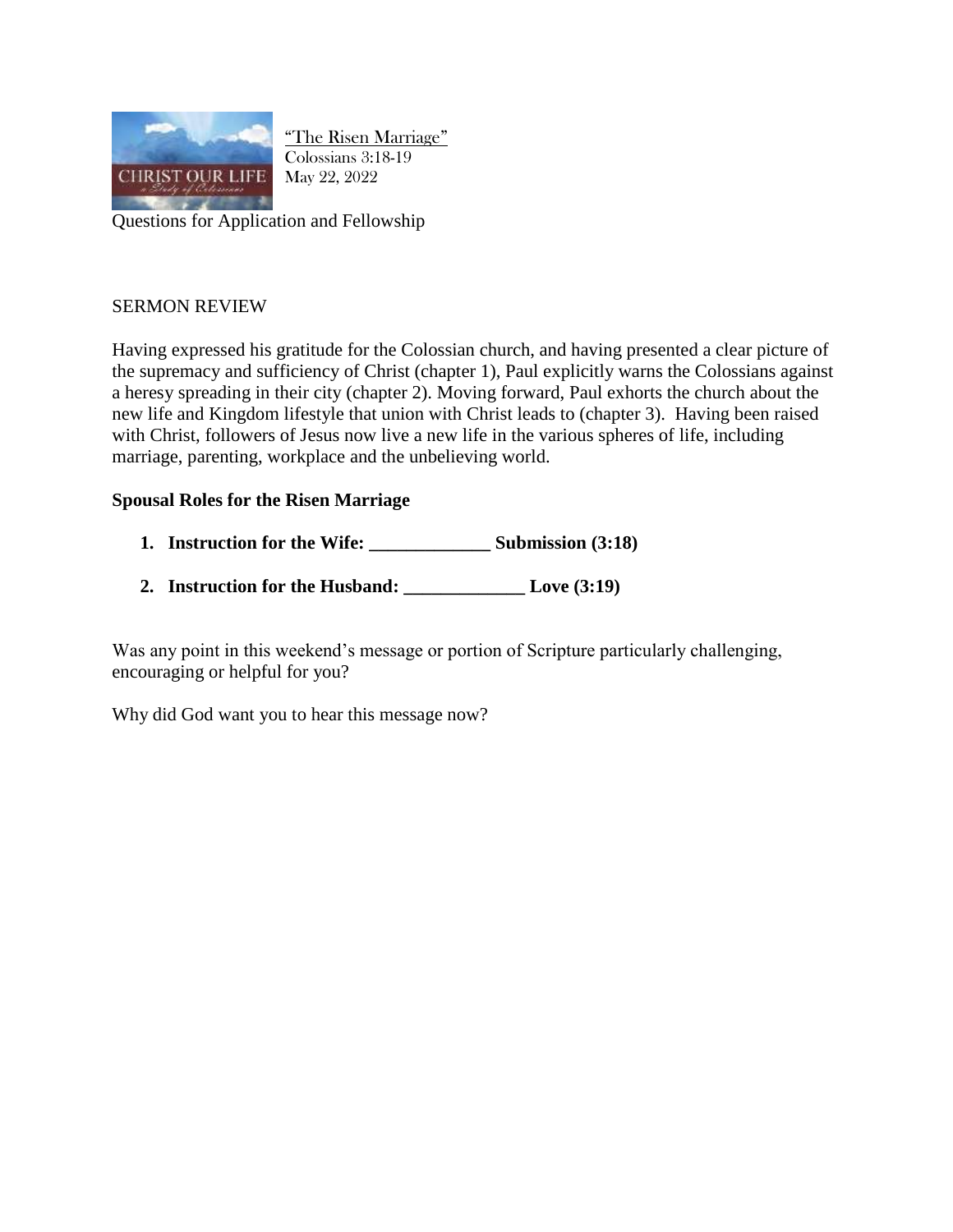

"The Risen Marriage" Colossians 3:18-19 May 22, 2022

Questions for Application and Fellowship

## SERMON REVIEW

Having expressed his gratitude for the Colossian church, and having presented a clear picture of the supremacy and sufficiency of Christ (chapter 1), Paul explicitly warns the Colossians against a heresy spreading in their city (chapter 2). Moving forward, Paul exhorts the church about the new life and Kingdom lifestyle that union with Christ leads to (chapter 3). Having been raised with Christ, followers of Jesus now live a new life in the various spheres of life, including marriage, parenting, workplace and the unbelieving world.

## **Spousal Roles for the Risen Marriage**

- **1. Instruction for the Wife: \_\_\_\_\_\_\_\_\_\_\_\_\_ Submission (3:18)**
- **2. Instruction for the Husband: \_\_\_\_\_\_\_\_\_\_\_\_\_ Love (3:19)**

Was any point in this weekend's message or portion of Scripture particularly challenging, encouraging or helpful for you?

Why did God want you to hear this message now?